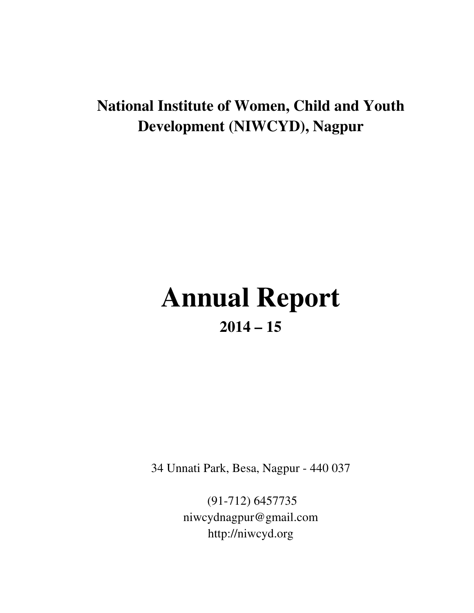# **National Institute of Women, Child and Youth Development (NIWCYD), Nagpur**

# **Annual Report 2014 – 15**

34 Unnati Park, Besa, Nagpur - 440 037

 (91-712) 6457735 niwcydnagpur@gmail.com http://niwcyd.org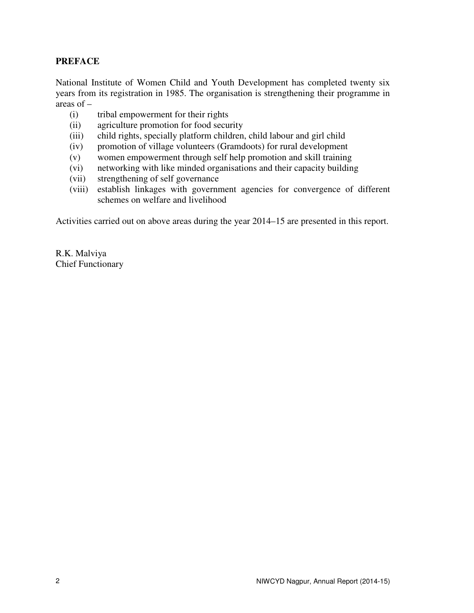# **PREFACE**

National Institute of Women Child and Youth Development has completed twenty six years from its registration in 1985. The organisation is strengthening their programme in areas of –

- (i) tribal empowerment for their rights
- (ii) agriculture promotion for food security
- (iii) child rights, specially platform children, child labour and girl child
- (iv) promotion of village volunteers (Gramdoots) for rural development
- (v) women empowerment through self help promotion and skill training
- (vi) networking with like minded organisations and their capacity building
- (vii) strengthening of self governance
- (viii) establish linkages with government agencies for convergence of different schemes on welfare and livelihood

Activities carried out on above areas during the year 2014–15 are presented in this report.

R.K. Malviya Chief Functionary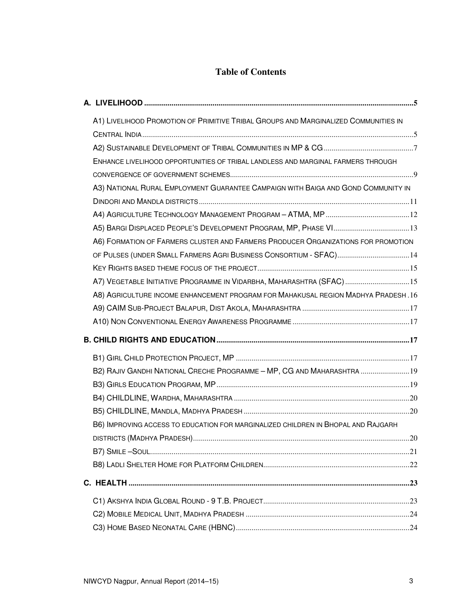# **Table of Contents**

| A1) LIVELIHOOD PROMOTION OF PRIMITIVE TRIBAL GROUPS AND MARGINALIZED COMMUNITIES IN |  |
|-------------------------------------------------------------------------------------|--|
|                                                                                     |  |
|                                                                                     |  |
| ENHANCE LIVELIHOOD OPPORTUNITIES OF TRIBAL LANDLESS AND MARGINAL FARMERS THROUGH    |  |
|                                                                                     |  |
| A3) NATIONAL RURAL EMPLOYMENT GUARANTEE CAMPAIGN WITH BAIGA AND GOND COMMUNITY IN   |  |
|                                                                                     |  |
|                                                                                     |  |
| A5) BARGI DISPLACED PEOPLE'S DEVELOPMENT PROGRAM, MP, PHASE VI13                    |  |
| A6) FORMATION OF FARMERS CLUSTER AND FARMERS PRODUCER ORGANIZATIONS FOR PROMOTION   |  |
| OF PULSES (UNDER SMALL FARMERS AGRI BUSINESS CONSORTIUM - SFAC)14                   |  |
|                                                                                     |  |
| A7) VEGETABLE INITIATIVE PROGRAMME IN VIDARBHA, MAHARASHTRA (SFAC) 15               |  |
| A8) AGRICULTURE INCOME ENHANCEMENT PROGRAM FOR MAHAKUSAL REGION MADHYA PRADESH. 16  |  |
|                                                                                     |  |
|                                                                                     |  |
|                                                                                     |  |
|                                                                                     |  |
| B2) RAJIV GANDHI NATIONAL CRECHE PROGRAMME - MP, CG AND MAHARASHTRA  19             |  |
|                                                                                     |  |
|                                                                                     |  |
|                                                                                     |  |
| B6) IMPROVING ACCESS TO EDUCATION FOR MARGINALIZED CHILDREN IN BHOPAL AND RAJGARH   |  |
|                                                                                     |  |
|                                                                                     |  |
|                                                                                     |  |
|                                                                                     |  |
|                                                                                     |  |
|                                                                                     |  |
|                                                                                     |  |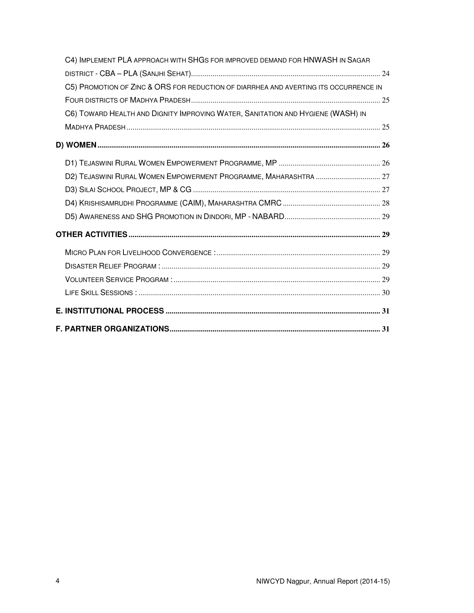| C4) IMPLEMENT PLA APPROACH WITH SHGS FOR IMPROVED DEMAND FOR HNWASH IN SAGAR         |  |
|--------------------------------------------------------------------------------------|--|
|                                                                                      |  |
| C5) PROMOTION OF ZINC & ORS FOR REDUCTION OF DIARRHEA AND AVERTING ITS OCCURRENCE IN |  |
|                                                                                      |  |
| C6) TOWARD HEALTH AND DIGNITY IMPROVING WATER, SANITATION AND HYGIENE (WASH) IN      |  |
|                                                                                      |  |
|                                                                                      |  |
|                                                                                      |  |
| D2) TEJASWINI RURAL WOMEN EMPOWERMENT PROGRAMME, MAHARASHTRA  27                     |  |
|                                                                                      |  |
|                                                                                      |  |
|                                                                                      |  |
|                                                                                      |  |
|                                                                                      |  |
|                                                                                      |  |
|                                                                                      |  |
|                                                                                      |  |
|                                                                                      |  |
|                                                                                      |  |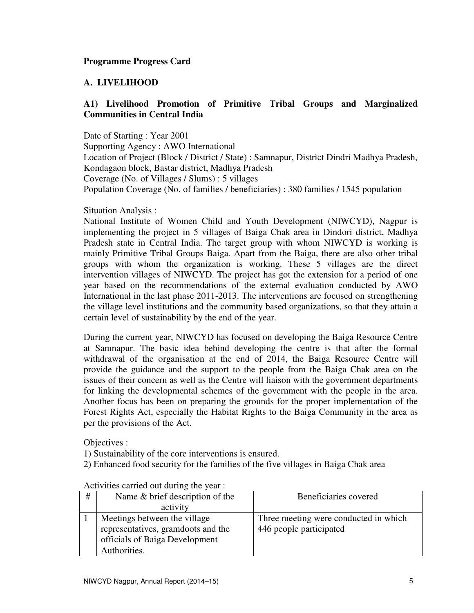# **A. LIVELIHOOD**

# **A1) Livelihood Promotion of Primitive Tribal Groups and Marginalized Communities in Central India**

Date of Starting : Year 2001 Supporting Agency : AWO International Location of Project (Block / District / State) : Samnapur, District Dindri Madhya Pradesh, Kondagaon block, Bastar district, Madhya Pradesh Coverage (No. of Villages / Slums) : 5 villages Population Coverage (No. of families / beneficiaries) : 380 families / 1545 population

#### Situation Analysis :

National Institute of Women Child and Youth Development (NIWCYD), Nagpur is implementing the project in 5 villages of Baiga Chak area in Dindori district, Madhya Pradesh state in Central India. The target group with whom NIWCYD is working is mainly Primitive Tribal Groups Baiga. Apart from the Baiga, there are also other tribal groups with whom the organization is working. These 5 villages are the direct intervention villages of NIWCYD. The project has got the extension for a period of one year based on the recommendations of the external evaluation conducted by AWO International in the last phase 2011-2013. The interventions are focused on strengthening the village level institutions and the community based organizations, so that they attain a certain level of sustainability by the end of the year.

During the current year, NIWCYD has focused on developing the Baiga Resource Centre at Samnapur. The basic idea behind developing the centre is that after the formal withdrawal of the organisation at the end of 2014, the Baiga Resource Centre will provide the guidance and the support to the people from the Baiga Chak area on the issues of their concern as well as the Centre will liaison with the government departments for linking the developmental schemes of the government with the people in the area. Another focus has been on preparing the grounds for the proper implementation of the Forest Rights Act, especially the Habitat Rights to the Baiga Community in the area as per the provisions of the Act.

Objectives :

1) Sustainability of the core interventions is ensured.

2) Enhanced food security for the families of the five villages in Baiga Chak area

| # | Name & brief description of the    | Beneficiaries covered                 |
|---|------------------------------------|---------------------------------------|
|   | activity                           |                                       |
|   | Meetings between the village       | Three meeting were conducted in which |
|   | representatives, gramdoots and the | 446 people participated               |
|   | officials of Baiga Development     |                                       |
|   | Authorities.                       |                                       |

| Activities carried out during the year : |  |
|------------------------------------------|--|
|------------------------------------------|--|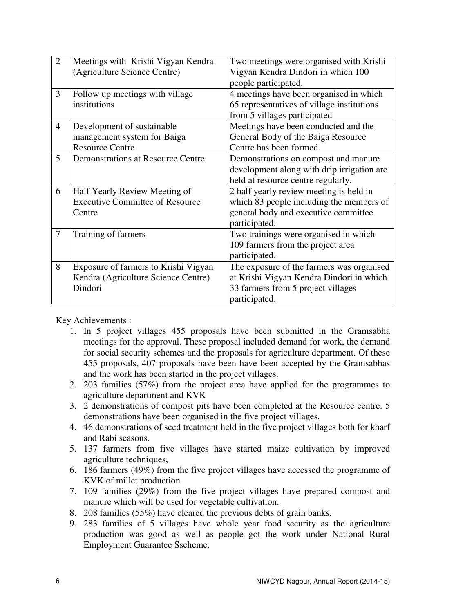| $\overline{2}$ | Meetings with Krishi Vigyan Kendra       | Two meetings were organised with Krishi    |  |
|----------------|------------------------------------------|--------------------------------------------|--|
|                | (Agriculture Science Centre)             | Vigyan Kendra Dindori in which 100         |  |
|                |                                          | people participated.                       |  |
| 3              | Follow up meetings with village          | 4 meetings have been organised in which    |  |
|                | institutions                             | 65 representatives of village institutions |  |
|                |                                          | from 5 villages participated               |  |
| $\overline{4}$ | Development of sustainable               | Meetings have been conducted and the       |  |
|                | management system for Baiga              | General Body of the Baiga Resource         |  |
|                | <b>Resource Centre</b>                   | Centre has been formed.                    |  |
| 5              | <b>Demonstrations at Resource Centre</b> | Demonstrations on compost and manure       |  |
|                |                                          | development along with drip irrigation are |  |
|                |                                          | held at resource centre regularly.         |  |
| 6              | Half Yearly Review Meeting of            | 2 half yearly review meeting is held in    |  |
|                | <b>Executive Committee of Resource</b>   | which 83 people including the members of   |  |
|                | Centre                                   | general body and executive committee       |  |
|                |                                          | participated.                              |  |
| $\overline{7}$ | Training of farmers                      | Two trainings were organised in which      |  |
|                |                                          | 109 farmers from the project area          |  |
|                |                                          | participated.                              |  |
| 8              | Exposure of farmers to Krishi Vigyan     | The exposure of the farmers was organised  |  |
|                | Kendra (Agriculture Science Centre)      | at Krishi Vigyan Kendra Dindori in which   |  |
|                | Dindori                                  | 33 farmers from 5 project villages         |  |
|                |                                          | participated.                              |  |

Key Achievements :

- 1. In 5 project villages 455 proposals have been submitted in the Gramsabha meetings for the approval. These proposal included demand for work, the demand for social security schemes and the proposals for agriculture department. Of these 455 proposals, 407 proposals have been have been accepted by the Gramsabhas and the work has been started in the project villages.
- 2. 203 families (57%) from the project area have applied for the programmes to agriculture department and KVK
- 3. 2 demonstrations of compost pits have been completed at the Resource centre. 5 demonstrations have been organised in the five project villages.
- 4. 46 demonstrations of seed treatment held in the five project villages both for kharf and Rabi seasons.
- 5. 137 farmers from five villages have started maize cultivation by improved agriculture techniques,
- 6. 186 farmers (49%) from the five project villages have accessed the programme of KVK of millet production
- 7. 109 families (29%) from the five project villages have prepared compost and manure which will be used for vegetable cultivation.
- 8. 208 families (55%) have cleared the previous debts of grain banks.
- 9. 283 families of 5 villages have whole year food security as the agriculture production was good as well as people got the work under National Rural Employment Guarantee Sscheme.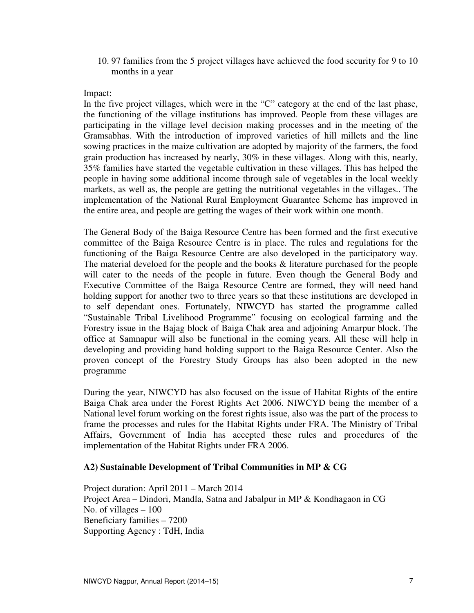10. 97 families from the 5 project villages have achieved the food security for 9 to 10 months in a year

#### Impact:

In the five project villages, which were in the "C" category at the end of the last phase, the functioning of the village institutions has improved. People from these villages are participating in the village level decision making processes and in the meeting of the Gramsabhas. With the introduction of improved varieties of hill millets and the line sowing practices in the maize cultivation are adopted by majority of the farmers, the food grain production has increased by nearly, 30% in these villages. Along with this, nearly, 35% families have started the vegetable cultivation in these villages. This has helped the people in having some additional income through sale of vegetables in the local weekly markets, as well as, the people are getting the nutritional vegetables in the villages.. The implementation of the National Rural Employment Guarantee Scheme has improved in the entire area, and people are getting the wages of their work within one month.

The General Body of the Baiga Resource Centre has been formed and the first executive committee of the Baiga Resource Centre is in place. The rules and regulations for the functioning of the Baiga Resource Centre are also developed in the participatory way. The material develoed for the people and the books  $\&$  literature purchased for the people will cater to the needs of the people in future. Even though the General Body and Executive Committee of the Baiga Resource Centre are formed, they will need hand holding support for another two to three years so that these institutions are developed in to self dependant ones. Fortunately, NIWCYD has started the programme called "Sustainable Tribal Livelihood Programme" focusing on ecological farming and the Forestry issue in the Bajag block of Baiga Chak area and adjoining Amarpur block. The office at Samnapur will also be functional in the coming years. All these will help in developing and providing hand holding support to the Baiga Resource Center. Also the proven concept of the Forestry Study Groups has also been adopted in the new programme

During the year, NIWCYD has also focused on the issue of Habitat Rights of the entire Baiga Chak area under the Forest Rights Act 2006. NIWCYD being the member of a National level forum working on the forest rights issue, also was the part of the process to frame the processes and rules for the Habitat Rights under FRA. The Ministry of Tribal Affairs, Government of India has accepted these rules and procedures of the implementation of the Habitat Rights under FRA 2006.

#### **A2) Sustainable Development of Tribal Communities in MP & CG**

Project duration: April 2011 – March 2014 Project Area – Dindori, Mandla, Satna and Jabalpur in MP & Kondhagaon in CG No. of villages – 100 Beneficiary families – 7200 Supporting Agency : TdH, India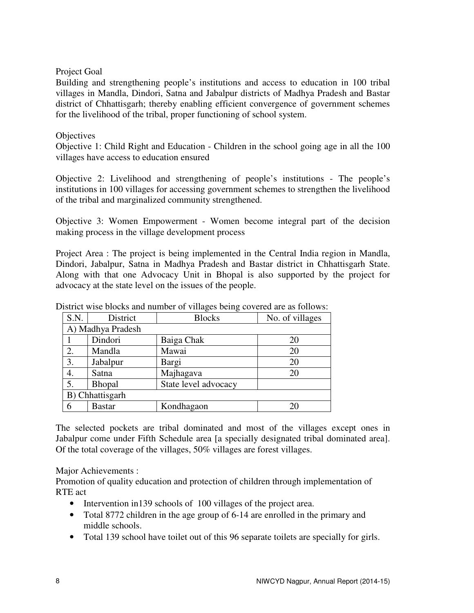#### Project Goal

Building and strengthening people's institutions and access to education in 100 tribal villages in Mandla, Dindori, Satna and Jabalpur districts of Madhya Pradesh and Bastar district of Chhattisgarh; thereby enabling efficient convergence of government schemes for the livelihood of the tribal, proper functioning of school system.

#### **Objectives**

Objective 1: Child Right and Education - Children in the school going age in all the 100 villages have access to education ensured

Objective 2: Livelihood and strengthening of people's institutions - The people's institutions in 100 villages for accessing government schemes to strengthen the livelihood of the tribal and marginalized community strengthened.

Objective 3: Women Empowerment - Women become integral part of the decision making process in the village development process

Project Area : The project is being implemented in the Central India region in Mandla, Dindori, Jabalpur, Satna in Madhya Pradesh and Bastar district in Chhattisgarh State. Along with that one Advocacy Unit in Bhopal is also supported by the project for advocacy at the state level on the issues of the people.

| S.N.              | District      | <b>Blocks</b>        | No. of villages |  |
|-------------------|---------------|----------------------|-----------------|--|
| A) Madhya Pradesh |               |                      |                 |  |
|                   | Dindori       | Baiga Chak           | 20              |  |
| 2.                | Mandla        | Mawai                | 20              |  |
| 3.                | Jabalpur      | Bargi                | 20              |  |
| 4.                | Satna         | Majhagava            | 20              |  |
| 5.                | <b>Bhopal</b> | State level advocacy |                 |  |
| B) Chhattisgarh   |               |                      |                 |  |
| 6                 | <b>Bastar</b> | Kondhagaon           | 20              |  |

District wise blocks and number of villages being covered are as follows:

The selected pockets are tribal dominated and most of the villages except ones in Jabalpur come under Fifth Schedule area [a specially designated tribal dominated area]. Of the total coverage of the villages, 50% villages are forest villages.

# Major Achievements :

Promotion of quality education and protection of children through implementation of RTE act

- Intervention in 139 schools of 100 villages of the project area.
- Total 8772 children in the age group of 6-14 are enrolled in the primary and middle schools.
- Total 139 school have toilet out of this 96 separate toilets are specially for girls.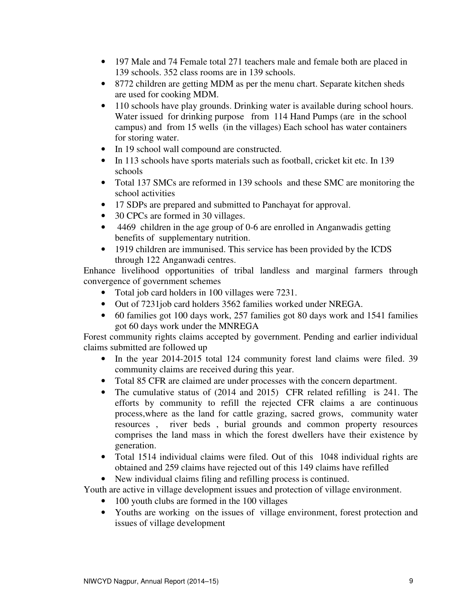- 197 Male and 74 Female total 271 teachers male and female both are placed in 139 schools. 352 class rooms are in 139 schools.
- 8772 children are getting MDM as per the menu chart. Separate kitchen sheds are used for cooking MDM.
- 110 schools have play grounds. Drinking water is available during school hours. Water issued for drinking purpose from 114 Hand Pumps (are in the school campus) and from 15 wells (in the villages) Each school has water containers for storing water.
- In 19 school wall compound are constructed.
- In 113 schools have sports materials such as football, cricket kit etc. In 139 schools
- Total 137 SMCs are reformed in 139 schools and these SMC are monitoring the school activities
- 17 SDPs are prepared and submitted to Panchayat for approval.
- 30 CPCs are formed in 30 villages.
- 4469 children in the age group of 0-6 are enrolled in Anganwadis getting benefits of supplementary nutrition.
- 1919 children are immunised. This service has been provided by the ICDS through 122 Anganwadi centres.

Enhance livelihood opportunities of tribal landless and marginal farmers through convergence of government schemes

- Total job card holders in 100 villages were 7231.
- Out of 7231job card holders 3562 families worked under NREGA.
- 60 families got 100 days work, 257 families got 80 days work and 1541 families got 60 days work under the MNREGA

Forest community rights claims accepted by government. Pending and earlier individual claims submitted are followed up

- In the year 2014-2015 total 124 community forest land claims were filed. 39 community claims are received during this year.
- Total 85 CFR are claimed are under processes with the concern department.
- The cumulative status of (2014 and 2015) CFR related refilling is 241. The efforts by community to refill the rejected CFR claims a are continuous process,where as the land for cattle grazing, sacred grows, community water resources , river beds , burial grounds and common property resources comprises the land mass in which the forest dwellers have their existence by generation.
- Total 1514 individual claims were filed. Out of this 1048 individual rights are obtained and 259 claims have rejected out of this 149 claims have refilled
- New individual claims filing and refilling process is continued.

Youth are active in village development issues and protection of village environment.

- 100 youth clubs are formed in the 100 villages
- Youths are working on the issues of village environment, forest protection and issues of village development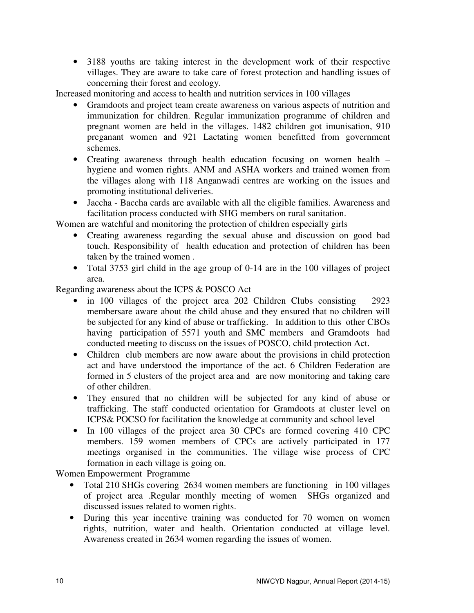• 3188 youths are taking interest in the development work of their respective villages. They are aware to take care of forest protection and handling issues of concerning their forest and ecology.

Increased monitoring and access to health and nutrition services in 100 villages

- Gramdoots and project team create awareness on various aspects of nutrition and immunization for children. Regular immunization programme of children and pregnant women are held in the villages. 1482 children got imunisation, 910 preganant women and 921 Lactating women benefitted from government schemes.
- Creating awareness through health education focusing on women health hygiene and women rights. ANM and ASHA workers and trained women from the villages along with 118 Anganwadi centres are working on the issues and promoting institutional deliveries.
- Jaccha Baccha cards are available with all the eligible families. Awareness and facilitation process conducted with SHG members on rural sanitation.

Women are watchful and monitoring the protection of children especially girls

- Creating awareness regarding the sexual abuse and discussion on good bad touch. Responsibility of health education and protection of children has been taken by the trained women .
- Total 3753 girl child in the age group of 0-14 are in the 100 villages of project area.

Regarding awareness about the ICPS & POSCO Act

- in 100 villages of the project area 202 Children Clubs consisting 2923 membersare aware about the child abuse and they ensured that no children will be subjected for any kind of abuse or trafficking. In addition to this other CBOs having participation of 5571 youth and SMC members and Gramdoots had conducted meeting to discuss on the issues of POSCO, child protection Act.
- Children club members are now aware about the provisions in child protection act and have understood the importance of the act. 6 Children Federation are formed in 5 clusters of the project area and are now monitoring and taking care of other children.
- They ensured that no children will be subjected for any kind of abuse or trafficking. The staff conducted orientation for Gramdoots at cluster level on ICPS& POCSO for facilitation the knowledge at community and school level
- In 100 villages of the project area 30 CPCs are formed covering 410 CPC members. 159 women members of CPCs are actively participated in 177 meetings organised in the communities. The village wise process of CPC formation in each village is going on.

Women Empowerment Programme

- Total 210 SHGs covering 2634 women members are functioning in 100 villages of project area .Regular monthly meeting of women SHGs organized and discussed issues related to women rights.
- During this year incentive training was conducted for 70 women on women rights, nutrition, water and health. Orientation conducted at village level. Awareness created in 2634 women regarding the issues of women.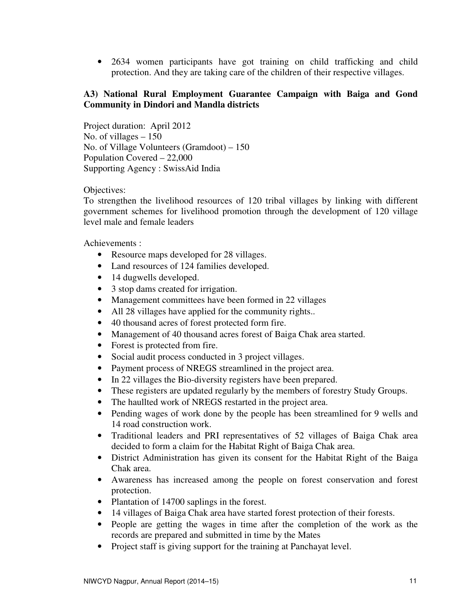• 2634 women participants have got training on child trafficking and child protection. And they are taking care of the children of their respective villages.

#### **A3) National Rural Employment Guarantee Campaign with Baiga and Gond Community in Dindori and Mandla districts**

Project duration: April 2012 No. of villages – 150 No. of Village Volunteers (Gramdoot) – 150 Population Covered – 22,000 Supporting Agency : SwissAid India

#### Objectives:

To strengthen the livelihood resources of 120 tribal villages by linking with different government schemes for livelihood promotion through the development of 120 village level male and female leaders

Achievements :

- Resource maps developed for 28 villages.
- Land resources of 124 families developed.
- 14 dugwells developed.
- 3 stop dams created for irrigation.
- Management committees have been formed in 22 villages
- All 28 villages have applied for the community rights..
- 40 thousand acres of forest protected form fire.
- Management of 40 thousand acres forest of Baiga Chak area started.
- Forest is protected from fire.
- Social audit process conducted in 3 project villages.
- Payment process of NREGS streamlined in the project area.
- In 22 villages the Bio-diversity registers have been prepared.
- These registers are updated regularly by the members of forestry Study Groups.
- The haullted work of NREGS restarted in the project area.
- Pending wages of work done by the people has been streamlined for 9 wells and 14 road construction work.
- Traditional leaders and PRI representatives of 52 villages of Baiga Chak area decided to form a claim for the Habitat Right of Baiga Chak area.
- District Administration has given its consent for the Habitat Right of the Baiga Chak area.
- Awareness has increased among the people on forest conservation and forest protection.
- Plantation of 14700 saplings in the forest.
- 14 villages of Baiga Chak area have started forest protection of their forests.
- People are getting the wages in time after the completion of the work as the records are prepared and submitted in time by the Mates
- Project staff is giving support for the training at Panchayat level.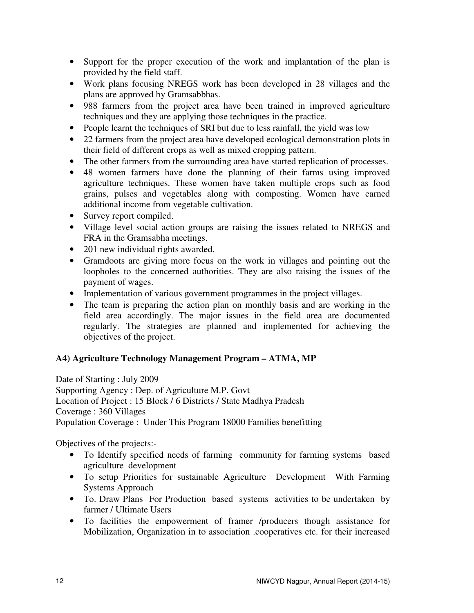- Support for the proper execution of the work and implantation of the plan is provided by the field staff.
- Work plans focusing NREGS work has been developed in 28 villages and the plans are approved by Gramsabbhas.
- 988 farmers from the project area have been trained in improved agriculture techniques and they are applying those techniques in the practice.
- People learnt the techniques of SRI but due to less rainfall, the yield was low
- 22 farmers from the project area have developed ecological demonstration plots in their field of different crops as well as mixed cropping pattern.
- The other farmers from the surrounding area have started replication of processes.
- 48 women farmers have done the planning of their farms using improved agriculture techniques. These women have taken multiple crops such as food grains, pulses and vegetables along with composting. Women have earned additional income from vegetable cultivation.
- Survey report compiled.
- Village level social action groups are raising the issues related to NREGS and FRA in the Gramsabha meetings.
- 201 new individual rights awarded.
- Gramdoots are giving more focus on the work in villages and pointing out the loopholes to the concerned authorities. They are also raising the issues of the payment of wages.
- Implementation of various government programmes in the project villages.
- The team is preparing the action plan on monthly basis and are working in the field area accordingly. The major issues in the field area are documented regularly. The strategies are planned and implemented for achieving the objectives of the project.

# **A4) Agriculture Technology Management Program – ATMA, MP**

Date of Starting : July 2009 Supporting Agency : Dep. of Agriculture M.P. Govt Location of Project : 15 Block / 6 Districts / State Madhya Pradesh Coverage : 360 Villages Population Coverage : Under This Program 18000 Families benefitting

Objectives of the projects:-

- To Identify specified needs of farming community for farming systems based agriculture development
- To setup Priorities for sustainable Agriculture Development With Farming Systems Approach
- To. Draw Plans For Production based systems activities to be undertaken by farmer / Ultimate Users
- To facilities the empowerment of framer /producers though assistance for Mobilization, Organization in to association .cooperatives etc. for their increased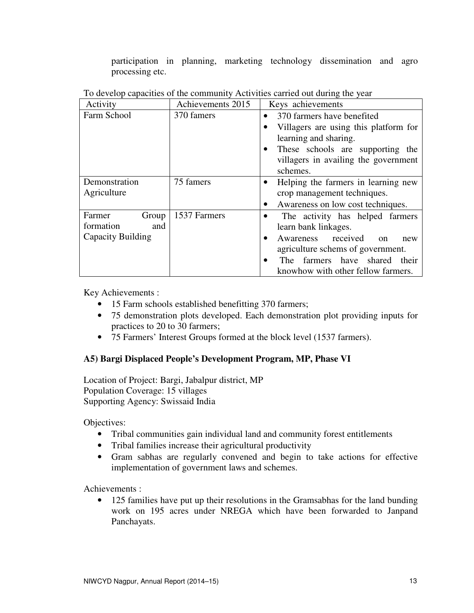participation in planning, marketing technology dissemination and agro processing etc.

| Activity          | Achievements 2015 | Keys achievements                                                                                                                                                        |  |
|-------------------|-------------------|--------------------------------------------------------------------------------------------------------------------------------------------------------------------------|--|
| Farm School       | 370 famers        | 370 farmers have benefited<br>$\bullet$                                                                                                                                  |  |
|                   |                   | Villagers are using this platform for<br>٠<br>learning and sharing.<br>These schools are supporting the<br>$\bullet$<br>villagers in availing the government<br>schemes. |  |
| Demonstration     | 75 famers         | Helping the farmers in learning new<br>$\bullet$                                                                                                                         |  |
| Agriculture       |                   | crop management techniques.                                                                                                                                              |  |
|                   |                   | Awareness on low cost techniques.                                                                                                                                        |  |
| Farmer<br>Group   | 1537 Farmers      | The activity has helped farmers<br>٠                                                                                                                                     |  |
| formation<br>and  |                   | learn bank linkages.                                                                                                                                                     |  |
| Capacity Building |                   | Awareness received<br>$\bullet$<br>$\alpha$<br>new                                                                                                                       |  |
|                   |                   | agriculture schems of government.                                                                                                                                        |  |
|                   |                   | farmers have shared their<br>The <sub>1</sub><br>$\bullet$                                                                                                               |  |
|                   |                   | knowhow with other fellow farmers.                                                                                                                                       |  |

To develop capacities of the community Activities carried out during the year

Key Achievements :

- 15 Farm schools established benefitting 370 farmers;
- 75 demonstration plots developed. Each demonstration plot providing inputs for practices to 20 to 30 farmers;
- 75 Farmers' Interest Groups formed at the block level (1537 farmers).

# **A5) Bargi Displaced People's Development Program, MP, Phase VI**

Location of Project: Bargi, Jabalpur district, MP Population Coverage: 15 villages Supporting Agency: Swissaid India

Objectives:

- Tribal communities gain individual land and community forest entitlements
- Tribal families increase their agricultural productivity
- Gram sabhas are regularly convened and begin to take actions for effective implementation of government laws and schemes.

Achievements :

• 125 families have put up their resolutions in the Gramsabhas for the land bunding work on 195 acres under NREGA which have been forwarded to Janpand Panchayats.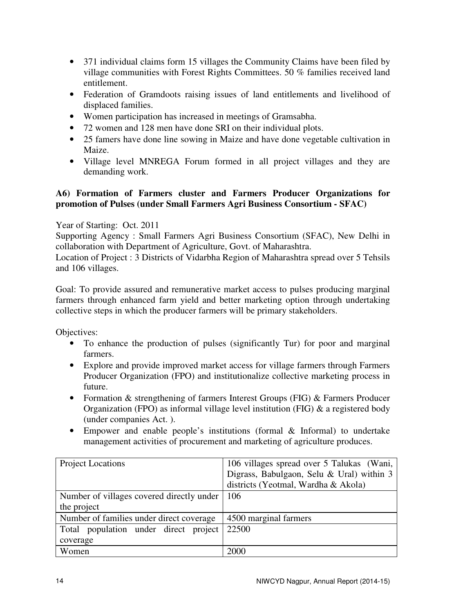- 371 individual claims form 15 villages the Community Claims have been filed by village communities with Forest Rights Committees. 50 % families received land entitlement.
- Federation of Gramdoots raising issues of land entitlements and livelihood of displaced families.
- Women participation has increased in meetings of Gramsabha.
- 72 women and 128 men have done SRI on their individual plots.
- 25 famers have done line sowing in Maize and have done vegetable cultivation in Maize.
- Village level MNREGA Forum formed in all project villages and they are demanding work.

# **A6) Formation of Farmers cluster and Farmers Producer Organizations for promotion of Pulses (under Small Farmers Agri Business Consortium - SFAC)**

# Year of Starting: Oct. 2011

Supporting Agency : Small Farmers Agri Business Consortium (SFAC), New Delhi in collaboration with Department of Agriculture, Govt. of Maharashtra.

Location of Project : 3 Districts of Vidarbha Region of Maharashtra spread over 5 Tehsils and 106 villages.

Goal: To provide assured and remunerative market access to pulses producing marginal farmers through enhanced farm yield and better marketing option through undertaking collective steps in which the producer farmers will be primary stakeholders.

Objectives:

- To enhance the production of pulses (significantly Tur) for poor and marginal farmers.
- Explore and provide improved market access for village farmers through Farmers Producer Organization (FPO) and institutionalize collective marketing process in future.
- Formation & strengthening of farmers Interest Groups (FIG) & Farmers Producer Organization (FPO) as informal village level institution (FIG) & a registered body (under companies Act. ).
- Empower and enable people's institutions (formal & Informal) to undertake management activities of procurement and marketing of agriculture produces.

| Project Locations                         | 106 villages spread over 5 Talukas (Wani, |  |
|-------------------------------------------|-------------------------------------------|--|
|                                           | Digrass, Babulgaon, Selu & Ural) within 3 |  |
|                                           | districts (Yeotmal, Wardha & Akola)       |  |
| Number of villages covered directly under | $\mid$ 106                                |  |
| the project                               |                                           |  |
| Number of families under direct coverage  | 4500 marginal farmers                     |  |
| Total population under direct project     | 22500                                     |  |
| coverage                                  |                                           |  |
| Women                                     | 2000                                      |  |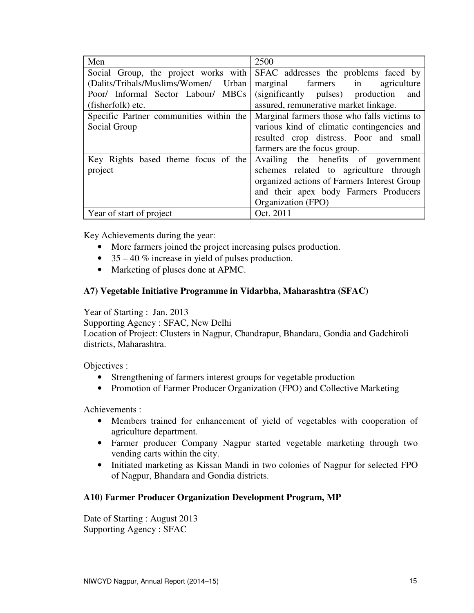| Men                                     | 2500                                        |  |
|-----------------------------------------|---------------------------------------------|--|
| Social Group, the project works with    | SFAC addresses the problems faced by        |  |
| (Dalits/Tribals/Muslims/Women/ Urban    | marginal farmers in<br>agriculture          |  |
| Poor/ Informal Sector Labour/ MBCs      | (significantly pulses) production<br>and    |  |
| (fisherfolk) etc.                       | assured, remunerative market linkage.       |  |
| Specific Partner communities within the | Marginal farmers those who falls victims to |  |
| Social Group                            | various kind of climatic contingencies and  |  |
|                                         | resulted crop distress. Poor and small      |  |
|                                         | farmers are the focus group.                |  |
| Key Rights based theme focus of the     | Availing the benefits of government         |  |
| project                                 | schemes related to agriculture through      |  |
|                                         | organized actions of Farmers Interest Group |  |
|                                         | and their apex body Farmers Producers       |  |
|                                         | Organization (FPO)                          |  |
| Year of start of project                | Oct. 2011                                   |  |

Key Achievements during the year:

- More farmers joined the project increasing pulses production.
- $35 40\%$  increase in yield of pulses production.
- Marketing of pluses done at APMC.

#### **A7) Vegetable Initiative Programme in Vidarbha, Maharashtra (SFAC)**

#### Year of Starting : Jan. 2013

Supporting Agency : SFAC, New Delhi

Location of Project: Clusters in Nagpur, Chandrapur, Bhandara, Gondia and Gadchiroli districts, Maharashtra.

Objectives :

- Strengthening of farmers interest groups for vegetable production
- Promotion of Farmer Producer Organization (FPO) and Collective Marketing

Achievements :

- Members trained for enhancement of yield of vegetables with cooperation of agriculture department.
- Farmer producer Company Nagpur started vegetable marketing through two vending carts within the city.
- Initiated marketing as Kissan Mandi in two colonies of Nagpur for selected FPO of Nagpur, Bhandara and Gondia districts.

#### **A10) Farmer Producer Organization Development Program, MP**

Date of Starting : August 2013 Supporting Agency : SFAC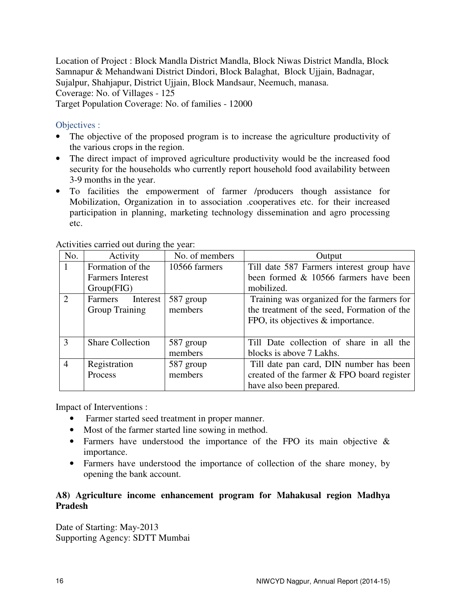Location of Project : Block Mandla District Mandla, Block Niwas District Mandla, Block Samnapur & Mehandwani District Dindori, Block Balaghat, Block Ujjain, Badnagar, Sujalpur, Shahjapur, District Ujjain, Block Mandsaur, Neemuch, manasa. Coverage: No. of Villages - 125 Target Population Coverage: No. of families - 12000

# Objectives :

- The objective of the proposed program is to increase the agriculture productivity of the various crops in the region.
- The direct impact of improved agriculture productivity would be the increased food security for the households who currently report household food availability between 3-9 months in the year.
- To facilities the empowerment of farmer /producers though assistance for Mobilization, Organization in to association .cooperatives etc. for their increased participation in planning, marketing technology dissemination and agro processing etc.

| No.                         | Activity                | No. of members | Output                                      |  |
|-----------------------------|-------------------------|----------------|---------------------------------------------|--|
|                             | Formation of the        | 10566 farmers  | Till date 587 Farmers interest group have   |  |
|                             | <b>Farmers</b> Interest |                | been formed & 10566 farmers have been       |  |
| Group(FIG)                  |                         |                | mobilized.                                  |  |
| $\mathcal{D}_{\mathcal{L}}$ | Farmers<br>Interest     | 587 group      | Training was organized for the farmers for  |  |
| Group Training              |                         | members        | the treatment of the seed, Formation of the |  |
|                             |                         |                | FPO, its objectives & importance.           |  |
|                             |                         |                |                                             |  |
| 3                           | <b>Share Collection</b> | 587 group      | Till Date collection of share in all the    |  |
|                             |                         | members        | blocks is above 7 Lakhs.                    |  |
| $\overline{4}$              | Registration            | 587 group      | Till date pan card, DIN number has been     |  |
|                             | Process                 | members        | created of the farmer & FPO board register  |  |
|                             |                         |                | have also been prepared.                    |  |

Activities carried out during the year:

Impact of Interventions :

- Farmer started seed treatment in proper manner.
- Most of the farmer started line sowing in method.
- Farmers have understood the importance of the FPO its main objective & importance.
- Farmers have understood the importance of collection of the share money, by opening the bank account.

# **A8) Agriculture income enhancement program for Mahakusal region Madhya Pradesh**

Date of Starting: May-2013 Supporting Agency: SDTT Mumbai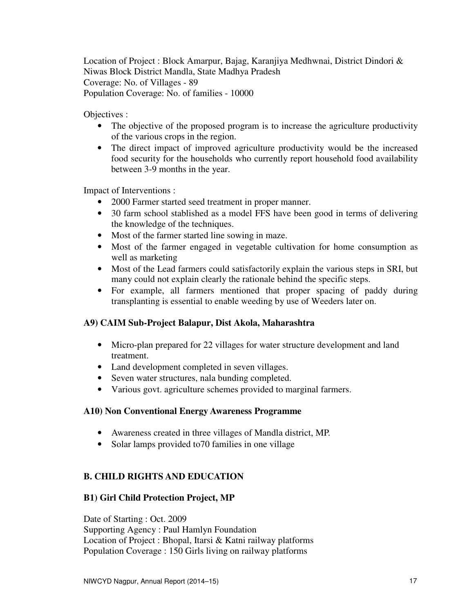Location of Project : Block Amarpur, Bajag, Karanjiya Medhwnai, District Dindori & Niwas Block District Mandla, State Madhya Pradesh Coverage: No. of Villages - 89 Population Coverage: No. of families - 10000

Objectives :

- The objective of the proposed program is to increase the agriculture productivity of the various crops in the region.
- The direct impact of improved agriculture productivity would be the increased food security for the households who currently report household food availability between 3-9 months in the year.

Impact of Interventions :

- 2000 Farmer started seed treatment in proper manner.
- 30 farm school stablished as a model FFS have been good in terms of delivering the knowledge of the techniques.
- Most of the farmer started line sowing in maze.
- Most of the farmer engaged in vegetable cultivation for home consumption as well as marketing
- Most of the Lead farmers could satisfactorily explain the various steps in SRI, but many could not explain clearly the rationale behind the specific steps.
- For example, all farmers mentioned that proper spacing of paddy during transplanting is essential to enable weeding by use of Weeders later on.

# **A9) CAIM Sub-Project Balapur, Dist Akola, Maharashtra**

- Micro-plan prepared for 22 villages for water structure development and land treatment.
- Land development completed in seven villages.
- Seven water structures, nala bunding completed.
- Various govt. agriculture schemes provided to marginal farmers.

#### **A10) Non Conventional Energy Awareness Programme**

- Awareness created in three villages of Mandla district, MP.
- Solar lamps provided to 70 families in one village

# **B. CHILD RIGHTS AND EDUCATION**

# **B1) Girl Child Protection Project, MP**

Date of Starting : Oct. 2009 Supporting Agency : Paul Hamlyn Foundation Location of Project : Bhopal, Itarsi & Katni railway platforms Population Coverage : 150 Girls living on railway platforms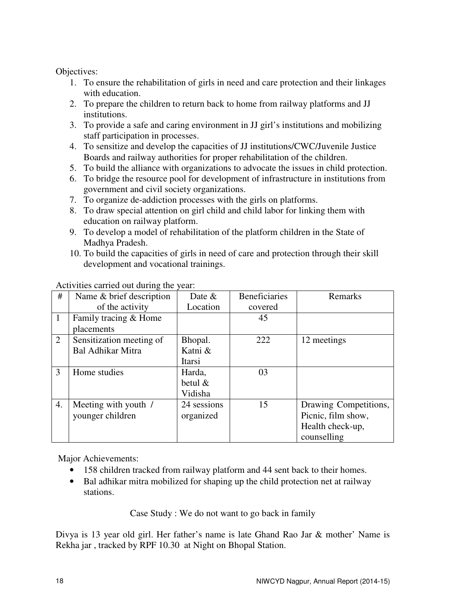Objectives:

- 1. To ensure the rehabilitation of girls in need and care protection and their linkages with education.
- 2. To prepare the children to return back to home from railway platforms and JJ institutions.
- 3. To provide a safe and caring environment in JJ girl's institutions and mobilizing staff participation in processes.
- 4. To sensitize and develop the capacities of JJ institutions/CWC/Juvenile Justice Boards and railway authorities for proper rehabilitation of the children.
- 5. To build the alliance with organizations to advocate the issues in child protection.
- 6. To bridge the resource pool for development of infrastructure in institutions from government and civil society organizations.
- 7. To organize de-addiction processes with the girls on platforms.
- 8. To draw special attention on girl child and child labor for linking them with education on railway platform.
- 9. To develop a model of rehabilitation of the platform children in the State of Madhya Pradesh.
- 10. To build the capacities of girls in need of care and protection through their skill development and vocational trainings.

| #              | Name & brief description | Date $&$    | <b>Beneficiaries</b> | Remarks               |
|----------------|--------------------------|-------------|----------------------|-----------------------|
|                | of the activity          | Location    | covered              |                       |
| 1              | Family tracing & Home    |             | 45                   |                       |
|                | placements               |             |                      |                       |
| $\overline{2}$ | Sensitization meeting of | Bhopal.     | 222                  | 12 meetings           |
|                | Bal Adhikar Mitra        | Katni &     |                      |                       |
|                |                          | Itarsi      |                      |                       |
| 3              | Home studies             | Harda,      | 03                   |                       |
|                |                          | betul $\&$  |                      |                       |
|                |                          | Vidisha     |                      |                       |
| 4.             | Meeting with youth /     | 24 sessions | 15                   | Drawing Competitions, |
|                | younger children         | organized   |                      | Picnic, film show,    |
|                |                          |             |                      | Health check-up,      |
|                |                          |             |                      | counselling           |

Activities carried out during the year:

Major Achievements:

- 158 children tracked from railway platform and 44 sent back to their homes.
- Bal adhikar mitra mobilized for shaping up the child protection net at railway stations.

Case Study : We do not want to go back in family

Divya is 13 year old girl. Her father's name is late Ghand Rao Jar & mother' Name is Rekha jar , tracked by RPF 10.30 at Night on Bhopal Station.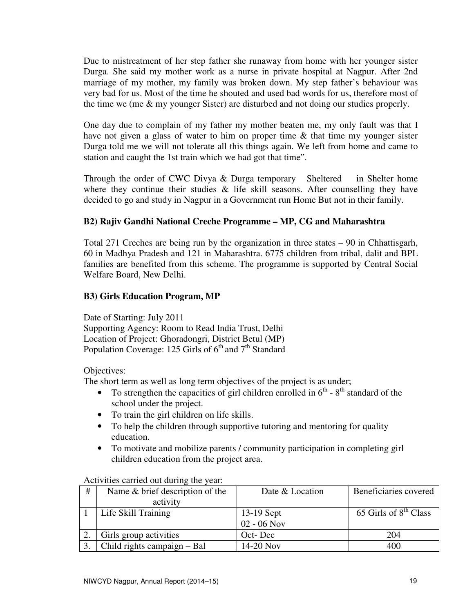Due to mistreatment of her step father she runaway from home with her younger sister Durga. She said my mother work as a nurse in private hospital at Nagpur. After 2nd marriage of my mother, my family was broken down. My step father's behaviour was very bad for us. Most of the time he shouted and used bad words for us, therefore most of the time we (me & my younger Sister) are disturbed and not doing our studies properly.

One day due to complain of my father my mother beaten me, my only fault was that I have not given a glass of water to him on proper time & that time my younger sister Durga told me we will not tolerate all this things again. We left from home and came to station and caught the 1st train which we had got that time".

Through the order of CWC Divya & Durga temporary Sheltered in Shelter home where they continue their studies  $\&$  life skill seasons. After counselling they have decided to go and study in Nagpur in a Government run Home But not in their family.

# **B2) Rajiv Gandhi National Creche Programme – MP, CG and Maharashtra**

Total 271 Creches are being run by the organization in three states – 90 in Chhattisgarh, 60 in Madhya Pradesh and 121 in Maharashtra. 6775 children from tribal, dalit and BPL families are benefited from this scheme. The programme is supported by Central Social Welfare Board, New Delhi.

# **B3) Girls Education Program, MP**

Date of Starting: July 2011 Supporting Agency: Room to Read India Trust, Delhi Location of Project: Ghoradongri, District Betul (MP) Population Coverage: 125 Girls of 6<sup>th</sup> and 7<sup>th</sup> Standard

Objectives:

The short term as well as long term objectives of the project is as under;

- To strengthen the capacities of girl children enrolled in  $6<sup>th</sup>$   $8<sup>th</sup>$  standard of the school under the project.
- To train the girl children on life skills.
- To help the children through supportive tutoring and mentoring for quality education.
- To motivate and mobilize parents / community participation in completing girl children education from the project area.

Activities carried out during the year:

| # | Name $& b$ brief description of the | Date & Location           | Beneficiaries covered             |
|---|-------------------------------------|---------------------------|-----------------------------------|
|   | activity                            |                           |                                   |
|   | Life Skill Training                 | 13-19 Sept<br>02 - 06 Nov | 65 Girls of 8 <sup>th</sup> Class |
|   |                                     |                           |                                   |
|   | Girls group activities              | Oct-Dec                   | 204                               |
|   | Child rights campaign – Bal         | 14-20 Nov                 | 400                               |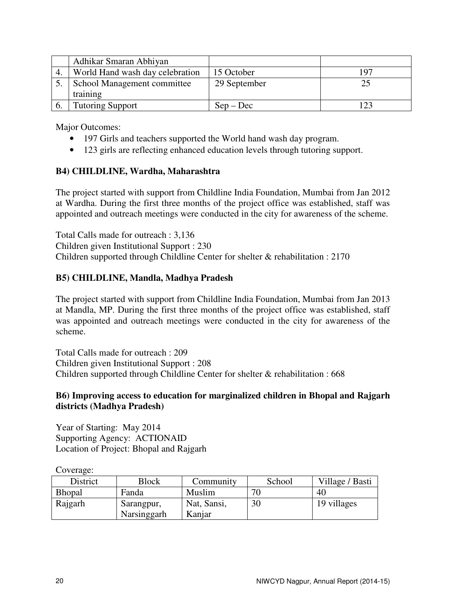| Adhikar Smaran Abhiyan          |              |     |
|---------------------------------|--------------|-----|
| World Hand wash day celebration | 15 October   | 197 |
| School Management committee     | 29 September |     |
| training                        |              |     |
| <b>Tutoring Support</b>         | $Sep - Dec$  |     |

Major Outcomes:

- 197 Girls and teachers supported the World hand wash day program.
- 123 girls are reflecting enhanced education levels through tutoring support.

#### **B4) CHILDLINE, Wardha, Maharashtra**

The project started with support from Childline India Foundation, Mumbai from Jan 2012 at Wardha. During the first three months of the project office was established, staff was appointed and outreach meetings were conducted in the city for awareness of the scheme.

Total Calls made for outreach : 3,136 Children given Institutional Support : 230 Children supported through Childline Center for shelter & rehabilitation : 2170

#### **B5) CHILDLINE, Mandla, Madhya Pradesh**

The project started with support from Childline India Foundation, Mumbai from Jan 2013 at Mandla, MP. During the first three months of the project office was established, staff was appointed and outreach meetings were conducted in the city for awareness of the scheme.

Total Calls made for outreach : 209 Children given Institutional Support : 208 Children supported through Childline Center for shelter & rehabilitation : 668

#### **B6) Improving access to education for marginalized children in Bhopal and Rajgarh districts (Madhya Pradesh)**

Year of Starting: May 2014 Supporting Agency: ACTIONAID Location of Project: Bhopal and Rajgarh

Coverage:

| District      | <b>Block</b>              | Community             | School | Village / Basti |
|---------------|---------------------------|-----------------------|--------|-----------------|
| <b>Bhopal</b> | Fanda                     | Muslim                | 71     | 40              |
| Rajgarh       | Sarangpur,<br>Narsinggarh | Nat, Sansi,<br>Kanjar | 30     | 19 villages     |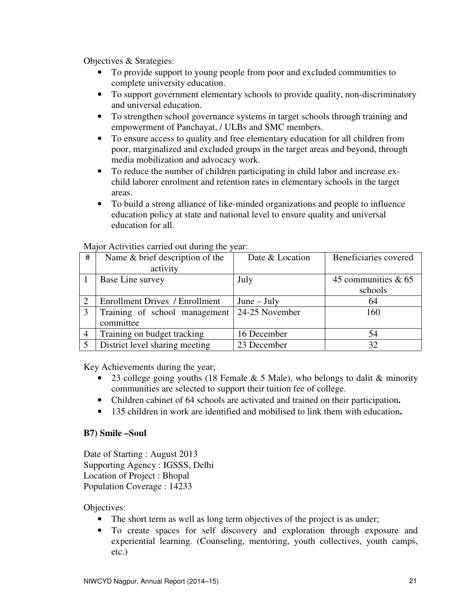Objectives & Strategies:

- To provide support to young people from poor and excluded communities to complete university education.
- To support government elementary schools to provide quality, non-discriminatory and universal education.
- To strengthen school governance systems in target schools through training and empowerment of Panchayat, / ULBs and SMC members.
- To ensure access to quality and free elementary education for all children from poor, marginalized and excluded groups in the target areas and beyond, through media mobilization and advocacy work.
- To reduce the number of children participating in child labor and increase exchild laborer enrolment and retention rates in elementary schools in the target areas.
- To build a strong alliance of like-minded organizations and people to influence education policy at state and national level to ensure quality and universal education for all.

| #              | Name & brief description of the       | Date & Location | Beneficiaries covered |
|----------------|---------------------------------------|-----------------|-----------------------|
|                | activity                              |                 |                       |
|                | Base Line survey                      | July            | 45 communities & 65   |
|                |                                       |                 | schools               |
| 2              | <b>Enrollment Drives / Enrollment</b> | $June - July$   | 64                    |
| 3              | Training of school management         | 24-25 November  | 160                   |
|                | committee                             |                 |                       |
| $\overline{4}$ | Training on budget tracking           | 16 December     | 54                    |
| $\overline{5}$ | District level sharing meeting        | 23 December     | 32                    |

Major Activities carried out during the year:

Key Achievements during the year;

- 23 college going youths (18 Female  $& 5$  Male), who belongs to dalit  $& 23$  minority communities are selected to support their tuition fee of college.
- Children cabinet of 64 schools are activated and trained on their participation**.**
- 135 children in work are identified and mobilised to link them with education**.**

#### **B7) Smile –Soul**

Date of Starting : August 2013 Supporting Agency : IGSSS, Delhi Location of Project : Bhopal Population Coverage : 14233

Objectives:

- The short term as well as long term objectives of the project is as under;
- To create spaces for self discovery and exploration through exposure and experiential learning. (Counseling, mentoring, youth collectives, youth camps, etc.)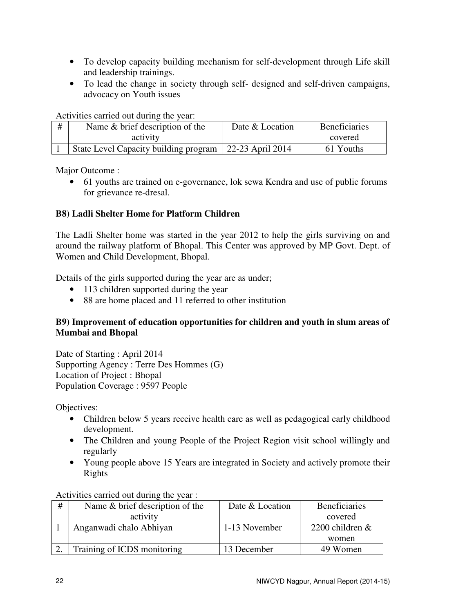- To develop capacity building mechanism for self-development through Life skill and leadership trainings.
- To lead the change in society through self- designed and self-driven campaigns, advocacy on Youth issues

Activities carried out during the year:

| # | Name & brief description of the       | Date & Location  | <b>Beneficiaries</b> |
|---|---------------------------------------|------------------|----------------------|
|   | activity                              |                  | covered              |
|   | State Level Capacity building program | 22-23 April 2014 | 61 Youths            |

Major Outcome :

• 61 youths are trained on e-governance, lok sewa Kendra and use of public forums for grievance re-dresal.

# **B8) Ladli Shelter Home for Platform Children**

The Ladli Shelter home was started in the year 2012 to help the girls surviving on and around the railway platform of Bhopal. This Center was approved by MP Govt. Dept. of Women and Child Development, Bhopal.

Details of the girls supported during the year are as under;

- 113 children supported during the year
- 88 are home placed and 11 referred to other institution

# **B9) Improvement of education opportunities for children and youth in slum areas of Mumbai and Bhopal**

Date of Starting : April 2014 Supporting Agency : Terre Des Hommes (G) Location of Project : Bhopal Population Coverage : 9597 People

Objectives:

- Children below 5 years receive health care as well as pedagogical early childhood development.
- The Children and young People of the Project Region visit school willingly and regularly
- Young people above 15 Years are integrated in Society and actively promote their Rights

Activities carried out during the year :

| # | Name $&$ brief description of the | Date & Location | <b>Beneficiaries</b> |
|---|-----------------------------------|-----------------|----------------------|
|   | activity                          |                 | covered              |
|   | Anganwadi chalo Abhiyan           | 1-13 November   | 2200 children $&$    |
|   |                                   |                 | women                |
|   | Training of ICDS monitoring       | 13 December     | 49 Women             |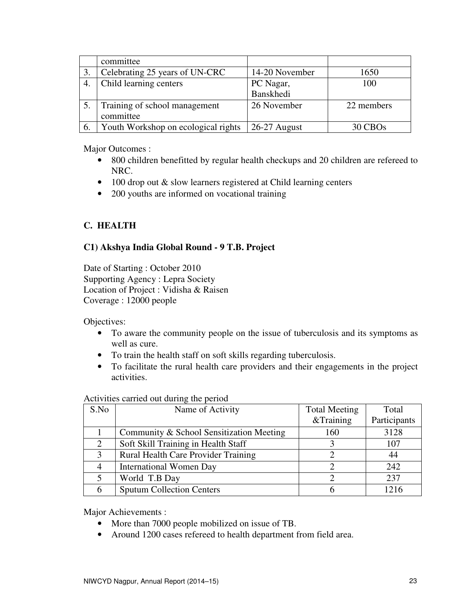|    | committee                           |                |                     |
|----|-------------------------------------|----------------|---------------------|
|    | Celebrating 25 years of UN-CRC      | 14-20 November | 1650                |
|    | Child learning centers              | PC Nagar,      | 100                 |
|    |                                     | Banskhedi      |                     |
|    | Training of school management       | 26 November    | 22 members          |
|    | committee                           |                |                     |
| 6. | Youth Workshop on ecological rights | 26-27 August   | 30 CBO <sub>s</sub> |

Major Outcomes :

- 800 children benefitted by regular health checkups and 20 children are refereed to NRC.
- 100 drop out & slow learners registered at Child learning centers
- 200 youths are informed on vocational training

# **C. HEALTH**

# **C1) Akshya India Global Round - 9 T.B. Project**

Date of Starting : October 2010 Supporting Agency : Lepra Society Location of Project : Vidisha & Raisen Coverage : 12000 people

Objectives:

- To aware the community people on the issue of tuberculosis and its symptoms as well as cure.
- To train the health staff on soft skills regarding tuberculosis.
- To facilitate the rural health care providers and their engagements in the project activities.

| S.No           | Name of Activity                         | <b>Total Meeting</b> | Total        |
|----------------|------------------------------------------|----------------------|--------------|
|                |                                          | &Training            | Participants |
|                | Community & School Sensitization Meeting | 160                  | 3128         |
|                | Soft Skill Training in Health Staff      |                      | 107          |
| 3              | Rural Health Care Provider Training      |                      | 44           |
| $\overline{4}$ | <b>International Women Day</b>           |                      | 242          |
|                | World T.B Day                            |                      | 237          |
| 6              | <b>Sputum Collection Centers</b>         |                      | 1216         |

#### Activities carried out during the period

Major Achievements :

- More than 7000 people mobilized on issue of TB.
- Around 1200 cases refereed to health department from field area.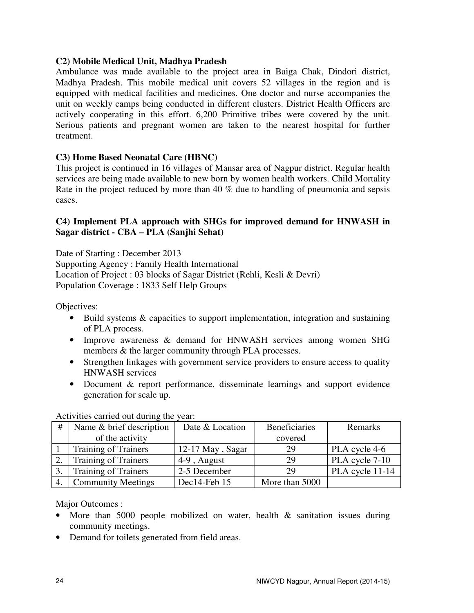#### **C2) Mobile Medical Unit, Madhya Pradesh**

Ambulance was made available to the project area in Baiga Chak, Dindori district, Madhya Pradesh. This mobile medical unit covers 52 villages in the region and is equipped with medical facilities and medicines. One doctor and nurse accompanies the unit on weekly camps being conducted in different clusters. District Health Officers are actively cooperating in this effort. 6,200 Primitive tribes were covered by the unit. Serious patients and pregnant women are taken to the nearest hospital for further treatment.

#### **C3) Home Based Neonatal Care (HBNC)**

This project is continued in 16 villages of Mansar area of Nagpur district. Regular health services are being made available to new born by women health workers. Child Mortality Rate in the project reduced by more than 40 % due to handling of pneumonia and sepsis cases.

#### **C4) Implement PLA approach with SHGs for improved demand for HNWASH in Sagar district - CBA – PLA (Sanjhi Sehat)**

Date of Starting : December 2013 Supporting Agency : Family Health International Location of Project : 03 blocks of Sagar District (Rehli, Kesli & Devri) Population Coverage : 1833 Self Help Groups

Objectives:

- Build systems & capacities to support implementation, integration and sustaining of PLA process.
- Improve awareness & demand for HNWASH services among women SHG members & the larger community through PLA processes.
- Strengthen linkages with government service providers to ensure access to quality HNWASH services
- Document & report performance, disseminate learnings and support evidence generation for scale up.

| #  | Name & brief description    | Date & Location  | Beneficiaries  | Remarks         |
|----|-----------------------------|------------------|----------------|-----------------|
|    | of the activity             |                  | covered        |                 |
|    | <b>Training of Trainers</b> | 12-17 May, Sagar | 29             | PLA cycle 4-6   |
|    | <b>Training of Trainers</b> | 4-9, August      | 29             | PLA cycle 7-10  |
|    | <b>Training of Trainers</b> | 2-5 December     | 29             | PLA cycle 11-14 |
| 4. | <b>Community Meetings</b>   | Dec14-Feb 15     | More than 5000 |                 |

Activities carried out during the year:

Major Outcomes :

- More than 5000 people mobilized on water, health & sanitation issues during community meetings.
- Demand for toilets generated from field areas.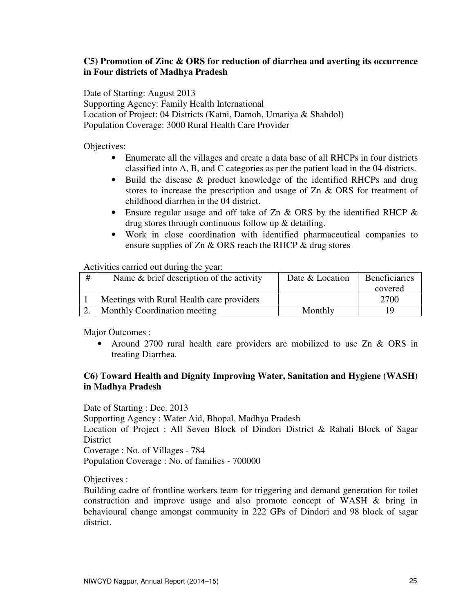# **C5) Promotion of Zinc & ORS for reduction of diarrhea and averting its occurrence in Four districts of Madhya Pradesh**

Date of Starting: August 2013

Supporting Agency: Family Health International Location of Project: 04 Districts (Katni, Damoh, Umariya & Shahdol) Population Coverage: 3000 Rural Health Care Provider

Objectives:

- Enumerate all the villages and create a data base of all RHCPs in four districts classified into A, B, and C categories as per the patient load in the 04 districts.
- Build the disease & product knowledge of the identified RHCPs and drug stores to increase the prescription and usage of Zn & ORS for treatment of childhood diarrhea in the 04 district.
- Ensure regular usage and off take of Zn & ORS by the identified RHCP & drug stores through continuous follow up & detailing.
- Work in close coordination with identified pharmaceutical companies to ensure supplies of Zn & ORS reach the RHCP & drug stores

Activities carried out during the year:

| # | Name $\&$ brief description of the activity | Date & Location | <b>Beneficiaries</b> |
|---|---------------------------------------------|-----------------|----------------------|
|   |                                             |                 | covered              |
|   | Meetings with Rural Health care providers   |                 | 2700                 |
|   | Monthly Coordination meeting                | Monthly         | 19                   |

Major Outcomes :

• Around 2700 rural health care providers are mobilized to use Zn & ORS in treating Diarrhea.

# **C6) Toward Health and Dignity Improving Water, Sanitation and Hygiene (WASH) in Madhya Pradesh**

Date of Starting : Dec. 2013

Supporting Agency : Water Aid, Bhopal, Madhya Pradesh

Location of Project : All Seven Block of Dindori District & Rahali Block of Sagar District

Coverage : No. of Villages - 784

Population Coverage : No. of families - 700000

Objectives :

Building cadre of frontline workers team for triggering and demand generation for toilet construction and improve usage and also promote concept of WASH & bring in behavioural change amongst community in 222 GPs of Dindori and 98 block of sagar district.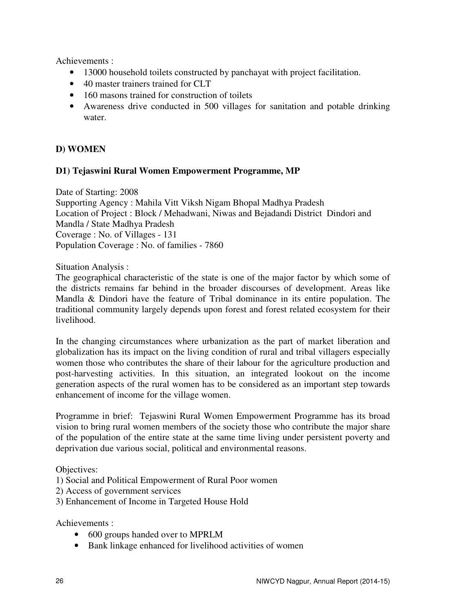Achievements :

- 13000 household toilets constructed by panchayat with project facilitation.
- 40 master trainers trained for CLT
- 160 masons trained for construction of toilets
- Awareness drive conducted in 500 villages for sanitation and potable drinking water.

# **D) WOMEN**

#### **D1) Tejaswini Rural Women Empowerment Programme, MP**

Date of Starting: 2008 Supporting Agency : Mahila Vitt Viksh Nigam Bhopal Madhya Pradesh Location of Project : Block / Mehadwani, Niwas and Bejadandi District Dindori and Mandla / State Madhya Pradesh Coverage : No. of Villages - 131 Population Coverage : No. of families - 7860

Situation Analysis :

The geographical characteristic of the state is one of the major factor by which some of the districts remains far behind in the broader discourses of development. Areas like Mandla & Dindori have the feature of Tribal dominance in its entire population. The traditional community largely depends upon forest and forest related ecosystem for their livelihood.

In the changing circumstances where urbanization as the part of market liberation and globalization has its impact on the living condition of rural and tribal villagers especially women those who contributes the share of their labour for the agriculture production and post-harvesting activities. In this situation, an integrated lookout on the income generation aspects of the rural women has to be considered as an important step towards enhancement of income for the village women.

Programme in brief: Tejaswini Rural Women Empowerment Programme has its broad vision to bring rural women members of the society those who contribute the major share of the population of the entire state at the same time living under persistent poverty and deprivation due various social, political and environmental reasons.

Objectives:

1) Social and Political Empowerment of Rural Poor women

2) Access of government services

3) Enhancement of Income in Targeted House Hold

Achievements :

- 600 groups handed over to MPRLM
- Bank linkage enhanced for livelihood activities of women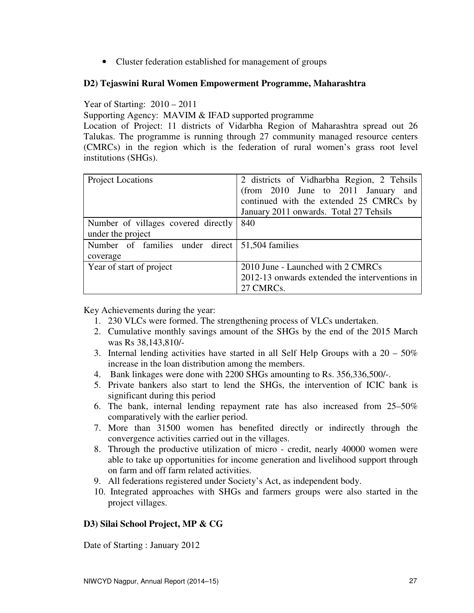• Cluster federation established for management of groups

# **D2) Tejaswini Rural Women Empowerment Programme, Maharashtra**

# Year of Starting: 2010 – 2011

Supporting Agency: MAVIM & IFAD supported programme

Location of Project: 11 districts of Vidarbha Region of Maharashtra spread out 26 Talukas. The programme is running through 27 community managed resource centers (CMRCs) in the region which is the federation of rural women's grass root level institutions (SHGs).

| <b>Project Locations</b>                                    | 2 districts of Vidharbha Region, 2 Tehsils<br>(from 2010 June to 2011 January<br>and<br>continued with the extended 25 CMRCs by<br>January 2011 onwards. Total 27 Tehsils |
|-------------------------------------------------------------|---------------------------------------------------------------------------------------------------------------------------------------------------------------------------|
| Number of villages covered directly<br>under the project    | 840                                                                                                                                                                       |
| Number of families under direct 51,504 families<br>coverage |                                                                                                                                                                           |
| Year of start of project                                    | 2010 June - Launched with 2 CMRCs<br>2012-13 onwards extended the interventions in<br>27 CMRCs.                                                                           |

Key Achievements during the year:

- 1. 230 VLCs were formed. The strengthening process of VLCs undertaken.
- 2. Cumulative monthly savings amount of the SHGs by the end of the 2015 March was Rs 38,143,810/-
- 3. Internal lending activities have started in all Self Help Groups with a 20 50% increase in the loan distribution among the members.
- 4. Bank linkages were done with 2200 SHGs amounting to Rs. 356,336,500/-.
- 5. Private bankers also start to lend the SHGs, the intervention of ICIC bank is significant during this period
- 6. The bank, internal lending repayment rate has also increased from 25–50% comparatively with the earlier period.
- 7. More than 31500 women has benefited directly or indirectly through the convergence activities carried out in the villages.
- 8. Through the productive utilization of micro credit, nearly 40000 women were able to take up opportunities for income generation and livelihood support through on farm and off farm related activities.
- 9. All federations registered under Society's Act, as independent body.
- 10. Integrated approaches with SHGs and farmers groups were also started in the project villages.

# **D3) Silai School Project, MP & CG**

Date of Starting : January 2012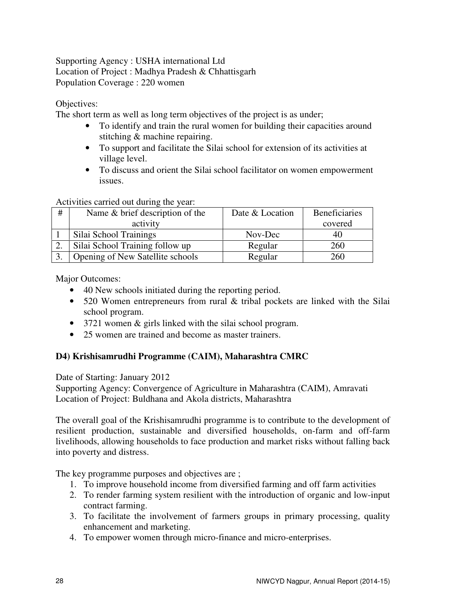Supporting Agency : USHA international Ltd Location of Project : Madhya Pradesh & Chhattisgarh Population Coverage : 220 women

Objectives:

The short term as well as long term objectives of the project is as under;

- To identify and train the rural women for building their capacities around stitching & machine repairing.
- To support and facilitate the Silai school for extension of its activities at village level.
- To discuss and orient the Silai school facilitator on women empowerment issues.

Activities carried out during the year:

| # | Name $& b$ brief description of the | Date & Location | <b>Beneficiaries</b> |
|---|-------------------------------------|-----------------|----------------------|
|   | activity                            |                 | covered              |
|   | Silai School Trainings              | Nov-Dec         | 40                   |
|   | Silai School Training follow up     | Regular         | 260                  |
|   | Opening of New Satellite schools    | Regular         | 260                  |

Major Outcomes:

- 40 New schools initiated during the reporting period.
- 520 Women entrepreneurs from rural & tribal pockets are linked with the Silai school program.
- 3721 women & girls linked with the silai school program.
- 25 women are trained and become as master trainers.

# **D4) Krishisamrudhi Programme (CAIM), Maharashtra CMRC**

Date of Starting: January 2012

Supporting Agency: Convergence of Agriculture in Maharashtra (CAIM), Amravati Location of Project: Buldhana and Akola districts, Maharashtra

The overall goal of the Krishisamrudhi programme is to contribute to the development of resilient production, sustainable and diversified households, on-farm and off-farm livelihoods, allowing households to face production and market risks without falling back into poverty and distress.

The key programme purposes and objectives are ;

- 1. To improve household income from diversified farming and off farm activities
- 2. To render farming system resilient with the introduction of organic and low-input contract farming.
- 3. To facilitate the involvement of farmers groups in primary processing, quality enhancement and marketing.
- 4. To empower women through micro-finance and micro-enterprises.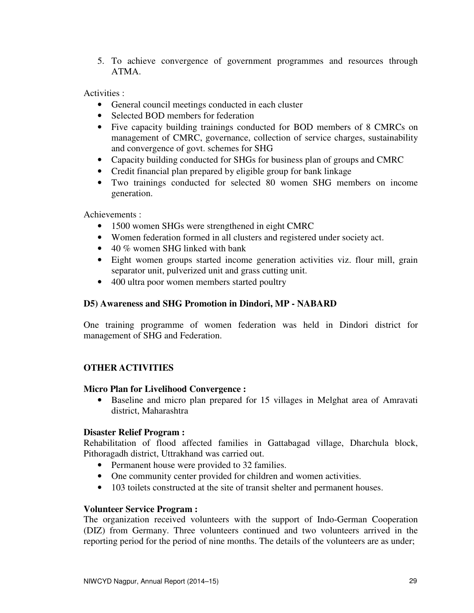5. To achieve convergence of government programmes and resources through ATMA.

Activities :

- General council meetings conducted in each cluster
- Selected BOD members for federation
- Five capacity building trainings conducted for BOD members of 8 CMRCs on management of CMRC, governance, collection of service charges, sustainability and convergence of govt. schemes for SHG
- Capacity building conducted for SHGs for business plan of groups and CMRC
- Credit financial plan prepared by eligible group for bank linkage
- Two trainings conducted for selected 80 women SHG members on income generation.

Achievements :

- 1500 women SHGs were strengthened in eight CMRC
- Women federation formed in all clusters and registered under society act.
- 40 % women SHG linked with bank
- Eight women groups started income generation activities viz. flour mill, grain separator unit, pulverized unit and grass cutting unit.
- 400 ultra poor women members started poultry

# **D5) Awareness and SHG Promotion in Dindori, MP - NABARD**

One training programme of women federation was held in Dindori district for management of SHG and Federation.

# **OTHER ACTIVITIES**

#### **Micro Plan for Livelihood Convergence :**

• Baseline and micro plan prepared for 15 villages in Melghat area of Amravati district, Maharashtra

# **Disaster Relief Program :**

Rehabilitation of flood affected families in Gattabagad village, Dharchula block, Pithoragadh district, Uttrakhand was carried out.

- Permanent house were provided to 32 families.
- One community center provided for children and women activities.
- 103 toilets constructed at the site of transit shelter and permanent houses.

#### **Volunteer Service Program :**

The organization received volunteers with the support of Indo-German Cooperation (DIZ) from Germany. Three volunteers continued and two volunteers arrived in the reporting period for the period of nine months. The details of the volunteers are as under;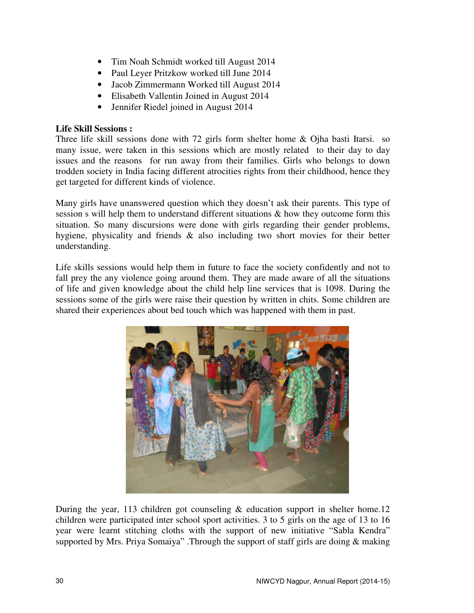- Tim Noah Schmidt worked till August 2014
- Paul Leyer Pritzkow worked till June 2014
- Jacob Zimmermann Worked till August 2014
- Elisabeth Vallentin Joined in August 2014
- Jennifer Riedel joined in August 2014

# **Life Skill Sessions :**

Three life skill sessions done with 72 girls form shelter home & Ojha basti Itarsi. so many issue, were taken in this sessions which are mostly related to their day to day issues and the reasons for run away from their families. Girls who belongs to down trodden society in India facing different atrocities rights from their childhood, hence they get targeted for different kinds of violence.

Many girls have unanswered question which they doesn't ask their parents. This type of session s will help them to understand different situations & how they outcome form this situation. So many discursions were done with girls regarding their gender problems, hygiene, physicality and friends & also including two short movies for their better understanding.

Life skills sessions would help them in future to face the society confidently and not to fall prey the any violence going around them. They are made aware of all the situations of life and given knowledge about the child help line services that is 1098. During the sessions some of the girls were raise their question by written in chits. Some children are shared their experiences about bed touch which was happened with them in past.



During the year, 113 children got counseling  $&$  education support in shelter home.12 children were participated inter school sport activities. 3 to 5 girls on the age of 13 to 16 year were learnt stitching cloths with the support of new initiative "Sabla Kendra" supported by Mrs. Priya Somaiya" .Through the support of staff girls are doing & making